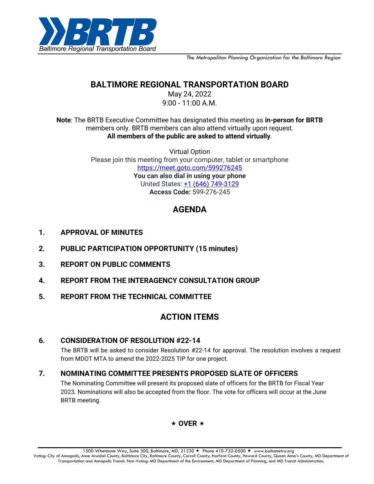

*The Metropolitan Planning Organization for the Baltimore Region*

# **BALTIMORE REGIONAL TRANSPORTATION BOARD**

May 24, 2022 9:00 - 11:00 A.M.

**Note**: The BRTB Executive Committee has designated this meeting as **in-person for BRTB** members only. BRTB members can also attend virtually upon request. **All members of the public are asked to attend virtually**.

> Virtual Option Please join this meeting from your computer, tablet or smartphone [https://meet.goto.com/599276245](https://meet.goto.com/599276245?_ga=2.27693436.1374653452.1652104997-1096614891.1639411184) **You can also dial in using your phone** United States: [+1 \(646\) 749-3129](tel:+16467493129,,599276245) **Access Code:** 599-276-245

# **AGENDA**

- **1. APPROVAL OF MINUTES**
- **2. PUBLIC PARTICIPATION OPPORTUNITY (15 minutes)**
- **3. REPORT ON PUBLIC COMMENTS**
- **4. REPORT FROM THE INTERAGENCY CONSULTATION GROUP**
- **5. REPORT FROM THE TECHNICAL COMMITTEE**

# **ACTION ITEMS**

### **6. CONSIDERATION OF RESOLUTION #22-14**

The BRTB will be asked to consider Resolution #22-14 for approval. The resolution involves a request from MDOT MTA to amend the 2022-2025 TIP for one project.

### **7. NOMINATING COMMITTEE PRESENTS PROPOSED SLATE OF OFFICERS**

The Nominating Committee will present its proposed slate of officers for the BRTB for Fiscal Year 2023. Nominations will also be accepted from the floor. The vote for officers will occur at the June BRTB meeting.

### $\star$  OVER  $\star$

1500 Whetstone Way, Suite 300, Baltimore, MD, 21230 ★ Phone 410-732-0500 ★ www.baltometro.org Voting: City of Annapolis, Anne Arundel County, Baltimore City, Baltimore County, Carroll County, Harford County, Howard County, Queen Anne's County, MD Department of Transportation and Annapolis Transit. Non-Voting: MD Department of the Environment, MD Department of Planning, and MD Transit Administration.